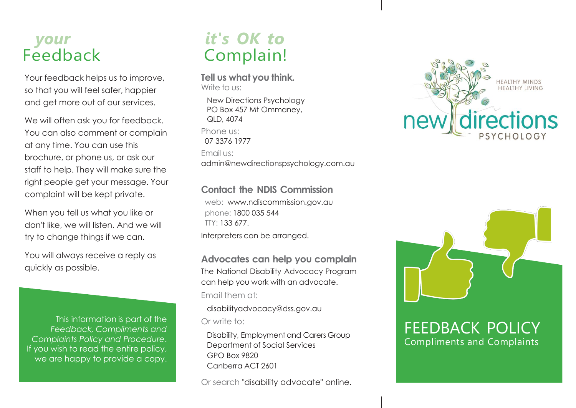### *your* Feedback

Your feedback helps us to improve, so that you will feel safer, happier and get more out of our services.

We will often ask you for feedback. You can also comment or complain at any time. You can use this brochure, or phone us, or ask our staff to help. They will make sure the right people get your message. Your complaint will be kept private.

When you tell us what you like or don't like, we will listen. And we will try to change things if we can.

You will always receive a reply as quickly as possible.

This information is part of the *Feedback, Compliments and Complaints Policy and Procedure*. If you wish to read the entire policy, we are happy to provide a copy.

## *it's OK to* Complain!

**Tell us what you think.** Write to us:

New Directions Psychology PO Box 457 Mt Ommaney, QLD, 4074 Phone us: 07 3376 1977 Email us: admin@newdirectionspsychology.com.au

### **Contact the NDIS Commission**

web: [www.ndiscommission.gov.au](http://www.ndiscommission.gov.au/)  phone: 1800 035 544 TTY: 133 677. Interpreters can be arranged.

**Advocates can help you complain** 

The National Disability Advocacy Program can help you work with an advocate. Email them at:

[disabilityadvocacy@dss.gov.au](mailto:disabilityadvocacy@dss.gov.au) Or write to:

Disability, Employment and Carers Group Department of Social Services GPO Box 9820 Canberra ACT 2601

Or search "disability advocate" online.





FEEDBACK POLICY Compliments and Complaints